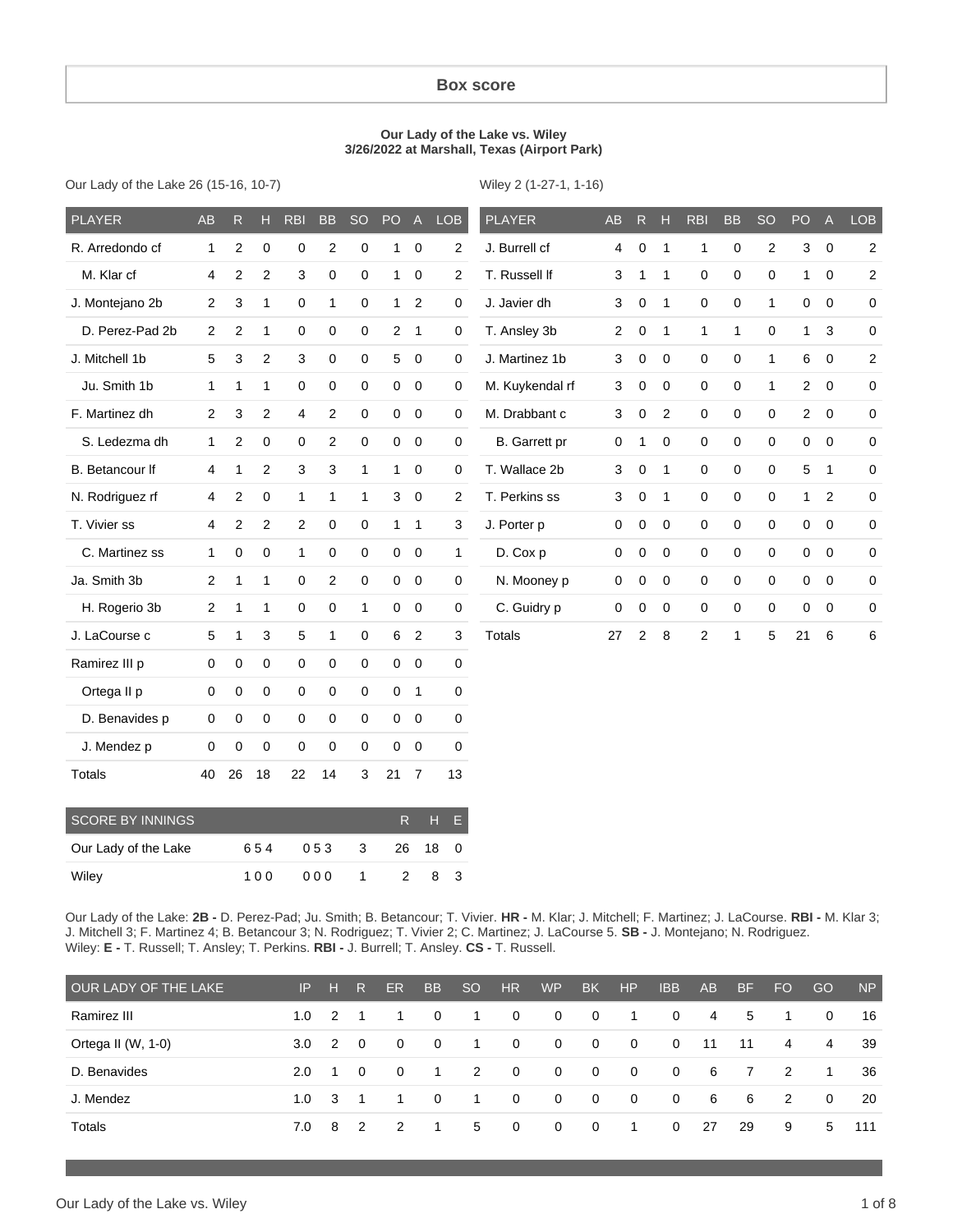#### **Box score**

#### **Our Lady of the Lake vs. Wiley 3/26/2022 at Marshall, Texas (Airport Park)**

Our Lady of the Lake 26 (15-16, 10-7)

Wiley 2 (1-27-1, 1-16)

| <b>PLAYER</b>   | <b>AB</b>      | $\overline{R}$          | Н              | <b>RBI</b>   | <b>BB</b>      | <b>SO</b>    | PO           | $\overline{A}$          | <b>LOB</b>     | <b>PLAYER</b>   | <b>AB</b>      | $\mathsf{R}$        | H            | <b>RBI</b>     | <b>BB</b>           | <b>SO</b>      | PO             | $\overline{A}$ | <b>LOB</b>              |
|-----------------|----------------|-------------------------|----------------|--------------|----------------|--------------|--------------|-------------------------|----------------|-----------------|----------------|---------------------|--------------|----------------|---------------------|----------------|----------------|----------------|-------------------------|
| R. Arredondo cf | 1              | 2                       | $\mathbf 0$    | $\mathbf 0$  | $\overline{2}$ | $\mathbf 0$  | 1            | $\,0\,$                 | $\overline{c}$ | J. Burrell cf   | 4              | $\mathbf 0$         | $\mathbf{1}$ | $\mathbf{1}$   | $\mathbf 0$         | $\overline{c}$ | 3              | $\mathbf 0$    | $\overline{\mathbf{c}}$ |
| M. Klar cf      | $\overline{4}$ | 2                       | 2              | 3            | 0              | $\mathbf 0$  | 1            | $\mathbf 0$             | 2              | T. Russell If   | 3              | $\mathbf{1}$        | $\mathbf{1}$ | 0              | $\boldsymbol{0}$    | 0              | $\mathbf{1}$   | $\mathbf 0$    | 2                       |
| J. Montejano 2b | $\overline{c}$ | 3                       | 1              | 0            | $\mathbf{1}$   | 0            | $\mathbf{1}$ | $\overline{2}$          | 0              | J. Javier dh    | 3              | $\mathbf 0$         | $\mathbf{1}$ | 0              | 0                   | 1              | 0              | $\mathbf 0$    | 0                       |
| D. Perez-Pad 2b | $\overline{2}$ | $\overline{\mathbf{c}}$ | 1              | 0            | 0              | $\mathbf 0$  | $\mathbf{2}$ | $\mathbf{1}$            | 0              | T. Ansley 3b    | $\overline{2}$ | 0                   | 1            | $\mathbf{1}$   | $\mathbf{1}$        | $\Omega$       | $\mathbf{1}$   | 3              | 0                       |
| J. Mitchell 1b  | 5              | 3                       | $\overline{c}$ | 3            | $\mathbf 0$    | $\mathbf 0$  | 5            | $\mathbf 0$             | 0              | J. Martinez 1b  | 3              | $\mathbf 0$         | $\Omega$     | 0              | $\mathbf 0$         | 1              | 6              | $\mathbf 0$    | $\overline{c}$          |
| Ju. Smith 1b    | $\mathbf{1}$   | 1                       | $\mathbf{1}$   | 0            | $\mathbf 0$    | 0            | $\mathbf 0$  | $\mathbf 0$             | 0              | M. Kuykendal rf | 3              | $\mathbf 0$         | $\mathsf 0$  | $\mathbf 0$    | 0                   | $\mathbf{1}$   | $\overline{2}$ | $\overline{0}$ | 0                       |
| F. Martinez dh  | $\overline{2}$ | 3                       | $\overline{2}$ | 4            | $\overline{c}$ | $\mathbf 0$  | $\mathbf 0$  | $\mathbf 0$             | 0              | M. Drabbant c   | 3              | $\mathsf{O}\xspace$ | 2            | 0              | $\mathsf{O}\xspace$ | 0              | $\overline{2}$ | $\mathbf 0$    | 0                       |
| S. Ledezma dh   | $\mathbf{1}$   | $\mathbf{2}$            | $\mathbf 0$    | 0            | 2              | $\mathbf 0$  | $\mathbf 0$  | $\mathbf 0$             | 0              | B. Garrett pr   | $\mathbf 0$    | $\mathbf{1}$        | $\mathbf 0$  | 0              | $\mathbf 0$         | 0              | 0              | $\overline{0}$ | 0                       |
| B. Betancour If | $\overline{4}$ | 1                       | 2              | 3            | 3              | $\mathbf{1}$ | 1            | $\mathbf 0$             | 0              | T. Wallace 2b   | 3              | 0                   | $\mathbf{1}$ | 0              | 0                   | 0              | 5              | $\mathbf{1}$   | 0                       |
| N. Rodriguez rf | 4              | $\overline{\mathbf{c}}$ | 0              | $\mathbf{1}$ | $\mathbf{1}$   | 1            | 3            | $\mathbf 0$             | $\overline{2}$ | T. Perkins ss   | 3              | $\mathbf 0$         | $\mathbf{1}$ | 0              | 0                   | 0              | $\mathbf{1}$   | 2              | 0                       |
| T. Vivier ss    | 4              | $\mathbf{2}$            | 2              | 2            | $\mathbf 0$    | $\mathbf 0$  | $\mathbf{1}$ | $\mathbf{1}$            | 3              | J. Porter p     | $\mathbf 0$    | $\mathbf 0$         | $\Omega$     | 0              | 0                   | $\Omega$       | $\mathbf 0$    | $\overline{0}$ | 0                       |
| C. Martinez ss  | $\mathbf{1}$   | 0                       | 0              | 1            | 0              | $\mathbf 0$  | $\mathbf 0$  | $\overline{\mathbf{0}}$ | 1              | D. Cox p        | $\mathbf 0$    | $\mathbf 0$         | $\mathbf 0$  | 0              | 0                   | 0              | 0              | $\mathbf 0$    | 0                       |
| Ja. Smith 3b    | $\overline{c}$ | $\mathbf{1}$            | $\mathbf{1}$   | 0            | $\overline{c}$ | $\pmb{0}$    | $\mathbf 0$  | $\overline{0}$          | 0              | N. Mooney p     | 0              | 0                   | 0            | $\mathbf 0$    | $\pmb{0}$           | 0              | 0              | $\mathbf 0$    | 0                       |
| H. Rogerio 3b   | $\overline{2}$ | 1                       | $\mathbf{1}$   | 0            | 0              | $\mathbf{1}$ | $\mathbf 0$  | $\mathbf 0$             | 0              | C. Guidry p     | $\mathbf 0$    | $\mathbf 0$         | $\mathbf 0$  | 0              | 0                   | 0              | 0              | $\mathbf 0$    | 0                       |
| J. LaCourse c   | 5              | 1                       | 3              | 5            | $\mathbf{1}$   | $\mathbf 0$  | 6            | $\overline{2}$          | 3              | <b>Totals</b>   | 27             | $\overline{2}$      | 8            | $\overline{2}$ | $\mathbf{1}$        | 5              | 21             | 6              | 6                       |
| Ramirez III p   | $\mathbf 0$    | 0                       | $\mathbf 0$    | $\mathbf 0$  | $\mathbf 0$    | $\mathbf 0$  | $\mathbf 0$  | $\overline{0}$          | 0              |                 |                |                     |              |                |                     |                |                |                |                         |
| Ortega II p     | 0              | 0                       | 0              | 0            | 0              | $\mathbf 0$  | $\mathbf 0$  | $\mathbf{1}$            | 0              |                 |                |                     |              |                |                     |                |                |                |                         |
| D. Benavides p  | 0              | 0                       | $\mathbf 0$    | 0            | 0              | $\mathbf 0$  | $\mathbf 0$  | $\overline{0}$          | 0              |                 |                |                     |              |                |                     |                |                |                |                         |
| J. Mendez p     | 0              | 0                       | $\mathbf 0$    | 0            | 0              | $\mathbf 0$  | $\mathbf 0$  | $\mathbf 0$             | 0              |                 |                |                     |              |                |                     |                |                |                |                         |
| Totals          | 40             | 26                      | 18             | 22           | 14             | 3            | 21           | $\overline{7}$          | 13             |                 |                |                     |              |                |                     |                |                |                |                         |
|                 |                |                         |                |              |                |              |              |                         |                |                 |                |                     |              |                |                     |                |                |                |                         |

| <b>SCORE BY INNINGS</b> |     |       |                  |                | R H F |     |
|-------------------------|-----|-------|------------------|----------------|-------|-----|
| Our Lady of the Lake    | 654 | 053 3 |                  | 26 18 0        |       |     |
| Wiley                   | 100 | 000   | $\blacksquare$ 1 | $\overline{2}$ |       | 8 3 |

Our Lady of the Lake: **2B -** D. Perez-Pad; Ju. Smith; B. Betancour; T. Vivier. **HR -** M. Klar; J. Mitchell; F. Martinez; J. LaCourse. **RBI -** M. Klar 3; J. Mitchell 3; F. Martinez 4; B. Betancour 3; N. Rodriguez; T. Vivier 2; C. Martinez; J. LaCourse 5. **SB -** J. Montejano; N. Rodriguez. Wiley: **E -** T. Russell; T. Ansley; T. Perkins. **RBI -** J. Burrell; T. Ansley. **CS -** T. Russell.

| OUR LADY OF THE LAKE | IP. | н              | R              | <b>ER</b> | <b>BB</b>    | SO.            | <b>HR</b>    | <b>WP</b>    | <b>BK</b>      | HP             | <b>IBB</b>  | AB | <b>BF</b>      | FO. | GO       | <b>NP</b> |
|----------------------|-----|----------------|----------------|-----------|--------------|----------------|--------------|--------------|----------------|----------------|-------------|----|----------------|-----|----------|-----------|
| Ramirez III          | 1.0 | $\overline{2}$ |                |           | $\Omega$     |                | $\mathbf{0}$ | $\mathbf{0}$ | $\overline{0}$ | $\overline{1}$ | $\Omega$    | 4  | 5              | -1  | $\Omega$ | 16        |
| Ortega II (W, 1-0)   | 3.0 | $\mathcal{P}$  | $\overline{0}$ | $\Omega$  | 0            |                | $\mathbf{0}$ | $\mathbf{0}$ | $\overline{0}$ | $\overline{0}$ | $\Omega$    | 11 | 11             | 4   | 4        | 39        |
| D. Benavides         | 2.0 |                | $\Omega$       | $\Omega$  | $\mathbf{1}$ | 2              | $\mathbf 0$  | $\mathbf 0$  | $\mathbf 0$    | $\overline{0}$ | $\mathbf 0$ | 6  | $\overline{7}$ | 2   | -1       | 36        |
| J. Mendez            | 1.0 | 3              |                |           | $\Omega$     |                | $\mathbf 0$  | $\mathbf 0$  | $\mathbf 0$    | $\mathbf{0}$   | $\mathbf 0$ | 6  | 6              | 2   | $\Omega$ | 20        |
| Totals               | 7.0 | 8              | $\overline{2}$ | - 2       | $\mathbf 1$  | 5 <sup>5</sup> | $\mathbf 0$  | $\mathbf{0}$ | 0              | 1.             | $\Omega$    | 27 | -29            | 9   | 5        | 111       |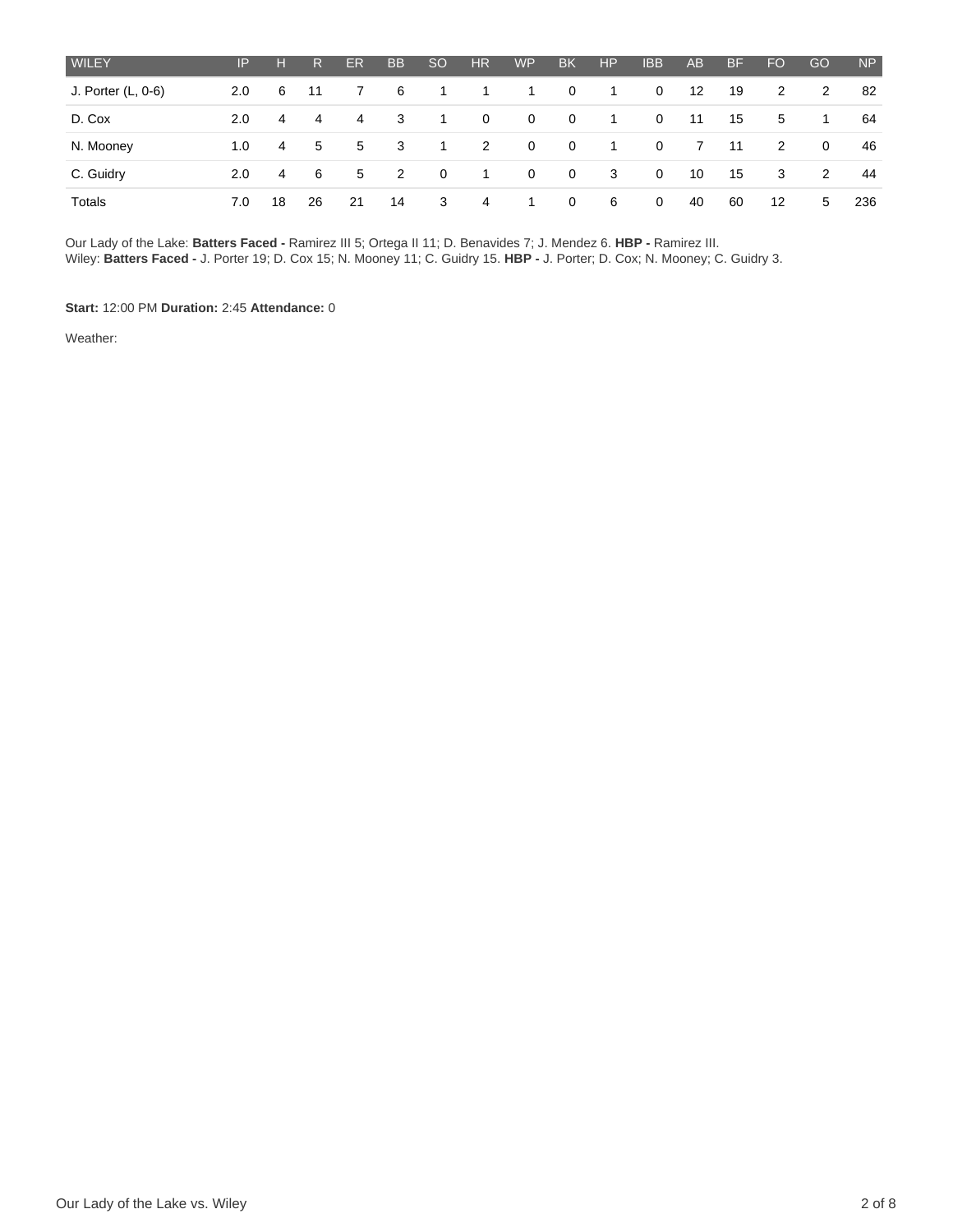| <b>WILEY</b>       | IP  | H  | R.   | ER | <b>BB</b>      | SO             | HR.            | <b>WP</b>      | <b>BK</b>      | H <sub>P</sub> | <b>IBB</b>  | AB      | <b>BF</b> | FO | GO           | <b>NP</b> |
|--------------------|-----|----|------|----|----------------|----------------|----------------|----------------|----------------|----------------|-------------|---------|-----------|----|--------------|-----------|
| J. Porter (L, 0-6) | 2.0 | 6  | - 11 | 7  | 6              | $\overline{1}$ | $\overline{1}$ | $\overline{1}$ | $\mathbf{0}$   | $\overline{1}$ | $\mathbf 0$ | $12 \,$ | 19        | 2  | 2            | 82        |
| D. Cox             | 2.0 | 4  | 4    | 4  | -3             | - 1            | $\mathbf{0}$   | $\overline{0}$ | $\mathbf{0}$   | $\mathbf{1}$   | 0           | 11      | 15        | 5  | -1           | 64        |
| N. Mooney          | 1.0 | 4  | 5    | 5  | - 3            | $\overline{1}$ | 2              | $\overline{0}$ | $\overline{0}$ | -1             | $\mathbf 0$ | 7       | 11        | 2  | $\mathbf{0}$ | 46        |
| C. Guidry          | 2.0 | 4  | 6    | 5  | $\overline{2}$ | $\overline{0}$ | $\overline{1}$ | $\overline{0}$ | $\overline{0}$ | 3              | $\mathbf 0$ | 10      | 15        | 3  | 2            | 44        |
| Totals             | 7.0 | 18 | 26   | 21 | 14             | $\mathbf{3}$   | 4              | $\overline{1}$ | $\mathbf{0}$   | 6              | 0           | 40      | 60        | 12 | 5            | 236       |

Our Lady of the Lake: **Batters Faced -** Ramirez III 5; Ortega II 11; D. Benavides 7; J. Mendez 6. **HBP -** Ramirez III. Wiley: **Batters Faced -** J. Porter 19; D. Cox 15; N. Mooney 11; C. Guidry 15. **HBP -** J. Porter; D. Cox; N. Mooney; C. Guidry 3.

**Start:** 12:00 PM **Duration:** 2:45 **Attendance:** 0

Weather: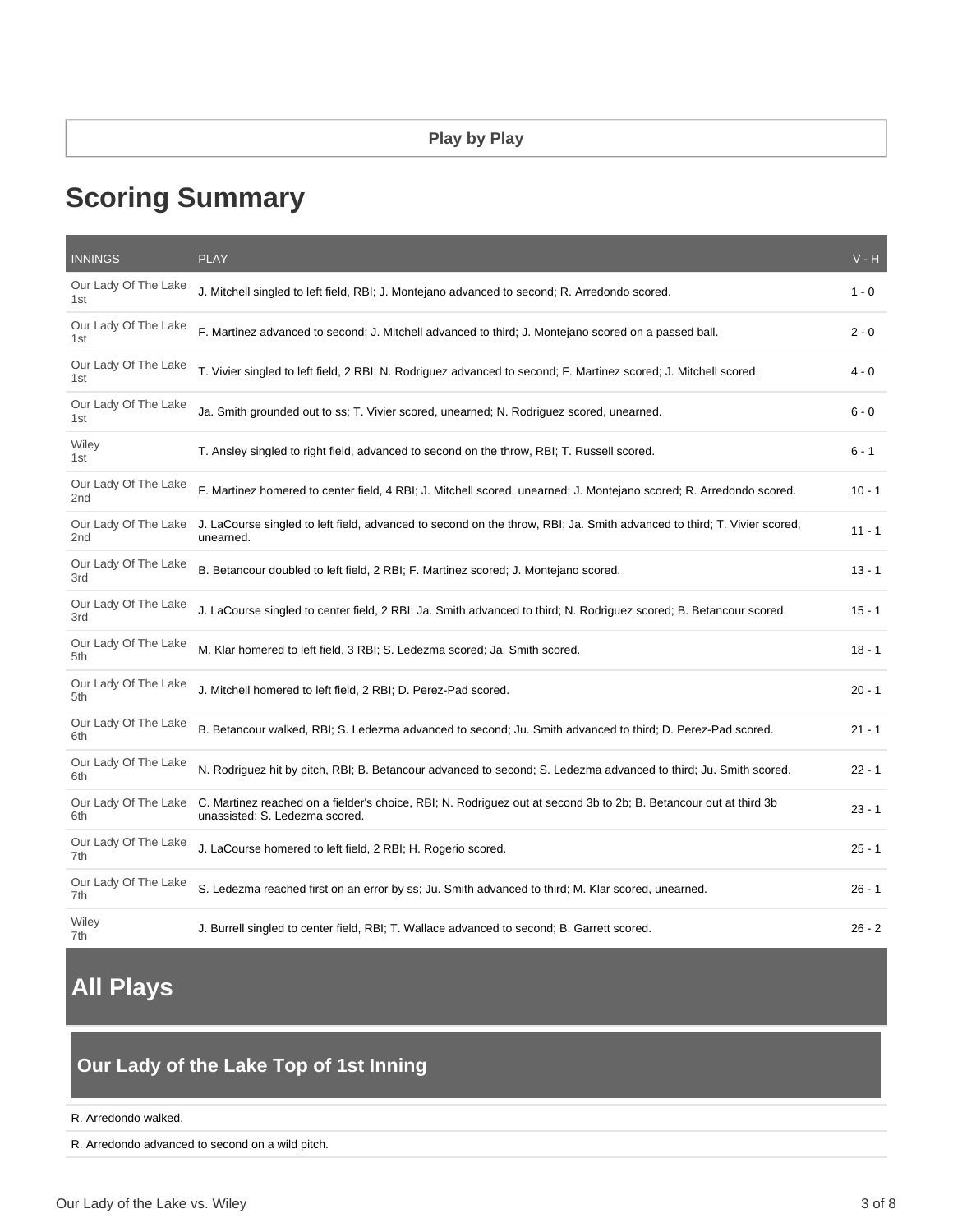# **Scoring Summary**

| <b>INNINGS</b>                          | <b>PLAY</b>                                                                                                                                         | $V - H$  |
|-----------------------------------------|-----------------------------------------------------------------------------------------------------------------------------------------------------|----------|
| Our Lady Of The Lake<br>1st             | J. Mitchell singled to left field, RBI; J. Montejano advanced to second; R. Arredondo scored.                                                       | $1 - 0$  |
| Our Lady Of The Lake<br>1st             | F. Martinez advanced to second; J. Mitchell advanced to third; J. Montejano scored on a passed ball.                                                | $2 - 0$  |
| Our Lady Of The Lake<br>1st             | T. Vivier singled to left field, 2 RBI; N. Rodriguez advanced to second; F. Martinez scored; J. Mitchell scored.                                    | 4 - 0    |
| Our Lady Of The Lake<br>1st             | Ja. Smith grounded out to ss; T. Vivier scored, unearned; N. Rodriguez scored, unearned.                                                            | $6 - 0$  |
| Wiley<br>1st                            | T. Ansley singled to right field, advanced to second on the throw, RBI; T. Russell scored.                                                          | $6 - 1$  |
| Our Lady Of The Lake<br>2nd             | F. Martinez homered to center field, 4 RBI; J. Mitchell scored, unearned; J. Montejano scored; R. Arredondo scored.                                 | $10 - 1$ |
| Our Lady Of The Lake<br>2 <sub>nd</sub> | J. LaCourse singled to left field, advanced to second on the throw, RBI; Ja. Smith advanced to third; T. Vivier scored,<br>unearned.                | $11 - 1$ |
| Our Lady Of The Lake<br>3rd             | B. Betancour doubled to left field, 2 RBI; F. Martinez scored; J. Montejano scored.                                                                 | $13 - 1$ |
| Our Lady Of The Lake<br>3rd             | J. LaCourse singled to center field, 2 RBI; Ja. Smith advanced to third; N. Rodriguez scored; B. Betancour scored.                                  | $15 - 1$ |
| Our Lady Of The Lake<br>5th             | M. Klar homered to left field, 3 RBI; S. Ledezma scored; Ja. Smith scored.                                                                          | $18 - 1$ |
| Our Lady Of The Lake<br>5th             | J. Mitchell homered to left field, 2 RBI; D. Perez-Pad scored.                                                                                      | $20 - 1$ |
| Our Lady Of The Lake<br>6th             | B. Betancour walked, RBI; S. Ledezma advanced to second; Ju. Smith advanced to third; D. Perez-Pad scored.                                          | $21 - 1$ |
| Our Lady Of The Lake<br>6th             | N. Rodriguez hit by pitch, RBI; B. Betancour advanced to second; S. Ledezma advanced to third; Ju. Smith scored.                                    | $22 - 1$ |
| Our Lady Of The Lake<br>6th             | C. Martinez reached on a fielder's choice, RBI; N. Rodriguez out at second 3b to 2b; B. Betancour out at third 3b<br>unassisted; S. Ledezma scored. | $23 - 1$ |
| Our Lady Of The Lake<br>7th             | J. LaCourse homered to left field, 2 RBI; H. Rogerio scored.                                                                                        | $25 - 1$ |
| Our Lady Of The Lake<br>7th             | S. Ledezma reached first on an error by ss; Ju. Smith advanced to third; M. Klar scored, unearned.                                                  | $26 - 1$ |
| Wiley<br>7th                            | J. Burrell singled to center field, RBI; T. Wallace advanced to second; B. Garrett scored.                                                          | $26 - 2$ |

# **All Plays**

## **Our Lady of the Lake Top of 1st Inning**

#### R. Arredondo walked.

R. Arredondo advanced to second on a wild pitch.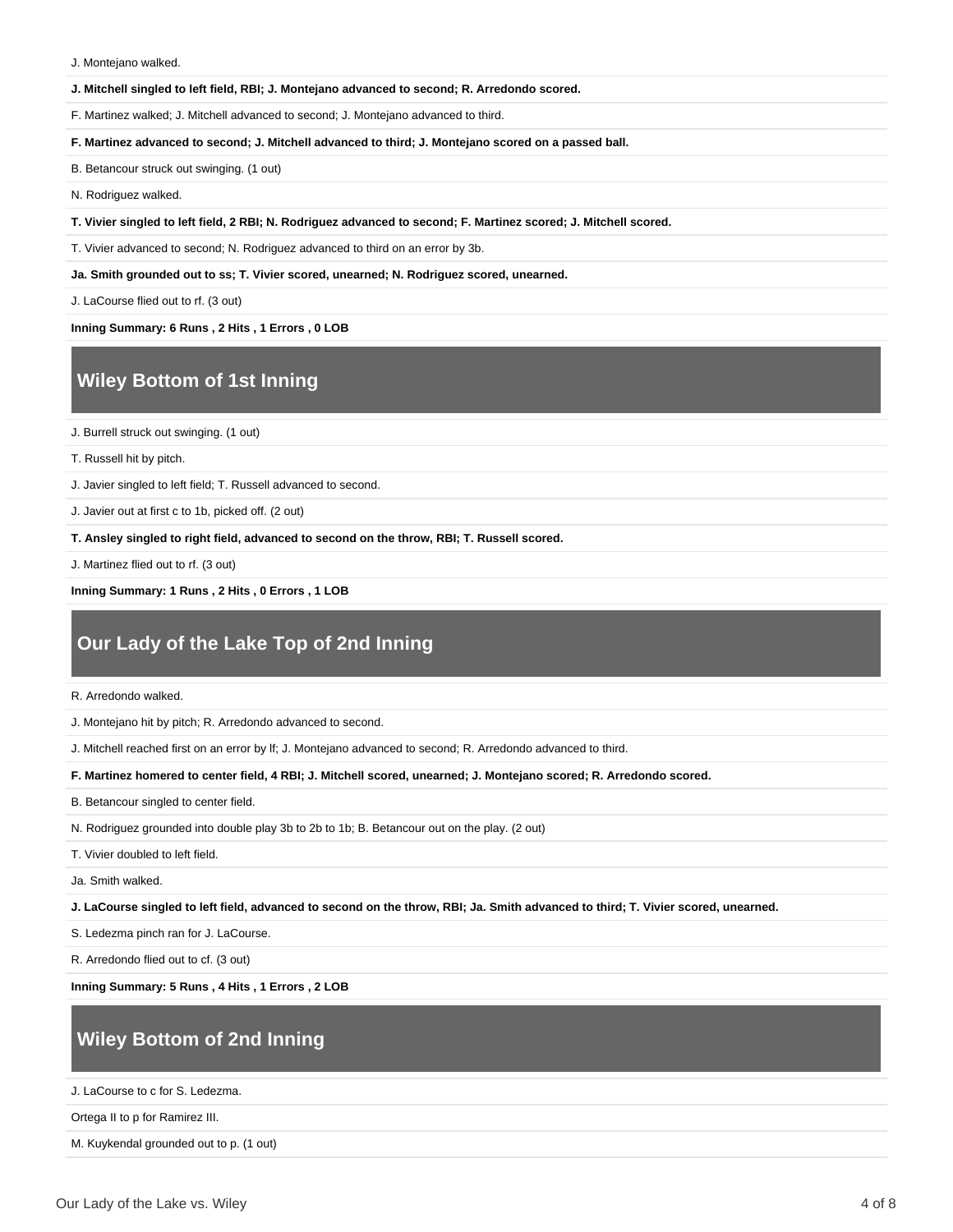J. Montejano walked.

#### **J. Mitchell singled to left field, RBI; J. Montejano advanced to second; R. Arredondo scored.**

F. Martinez walked; J. Mitchell advanced to second; J. Montejano advanced to third.

**F. Martinez advanced to second; J. Mitchell advanced to third; J. Montejano scored on a passed ball.**

B. Betancour struck out swinging. (1 out)

N. Rodriguez walked.

**T. Vivier singled to left field, 2 RBI; N. Rodriguez advanced to second; F. Martinez scored; J. Mitchell scored.**

T. Vivier advanced to second; N. Rodriguez advanced to third on an error by 3b.

**Ja. Smith grounded out to ss; T. Vivier scored, unearned; N. Rodriguez scored, unearned.**

J. LaCourse flied out to rf. (3 out)

**Inning Summary: 6 Runs , 2 Hits , 1 Errors , 0 LOB**

#### **Wiley Bottom of 1st Inning**

J. Burrell struck out swinging. (1 out)

T. Russell hit by pitch.

J. Javier singled to left field; T. Russell advanced to second.

J. Javier out at first c to 1b, picked off. (2 out)

**T. Ansley singled to right field, advanced to second on the throw, RBI; T. Russell scored.**

J. Martinez flied out to rf. (3 out)

**Inning Summary: 1 Runs , 2 Hits , 0 Errors , 1 LOB**

### **Our Lady of the Lake Top of 2nd Inning**

R. Arredondo walked.

J. Montejano hit by pitch; R. Arredondo advanced to second.

J. Mitchell reached first on an error by lf; J. Montejano advanced to second; R. Arredondo advanced to third.

**F. Martinez homered to center field, 4 RBI; J. Mitchell scored, unearned; J. Montejano scored; R. Arredondo scored.**

B. Betancour singled to center field.

N. Rodriguez grounded into double play 3b to 2b to 1b; B. Betancour out on the play. (2 out)

T. Vivier doubled to left field.

Ja. Smith walked.

**J. LaCourse singled to left field, advanced to second on the throw, RBI; Ja. Smith advanced to third; T. Vivier scored, unearned.**

S. Ledezma pinch ran for J. LaCourse.

R. Arredondo flied out to cf. (3 out)

**Inning Summary: 5 Runs , 4 Hits , 1 Errors , 2 LOB**

#### **Wiley Bottom of 2nd Inning**

J. LaCourse to c for S. Ledezma.

Ortega II to p for Ramirez III.

M. Kuykendal grounded out to p. (1 out)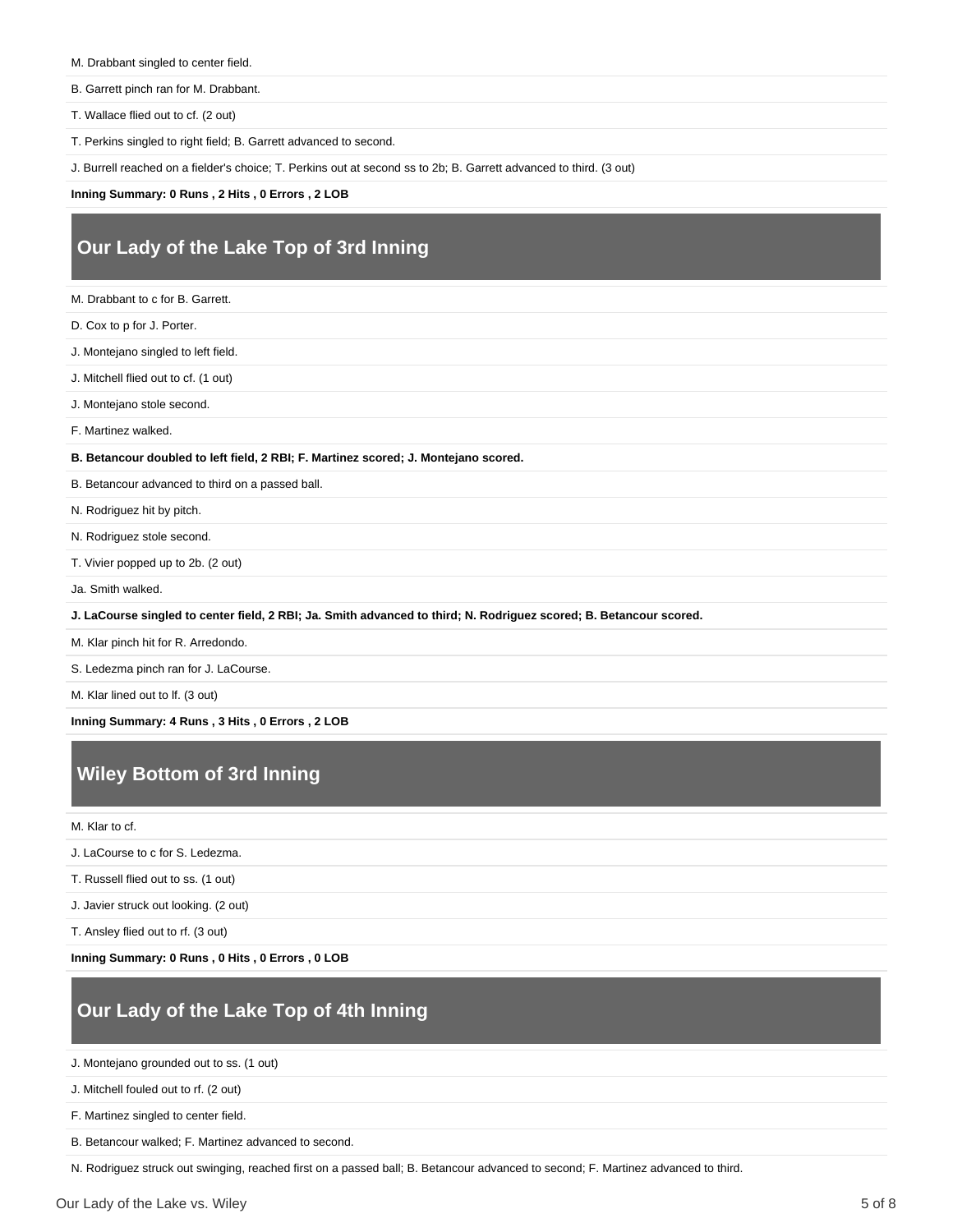- M. Drabbant singled to center field.
- B. Garrett pinch ran for M. Drabbant.
- T. Wallace flied out to cf. (2 out)
- T. Perkins singled to right field; B. Garrett advanced to second.

J. Burrell reached on a fielder's choice; T. Perkins out at second ss to 2b; B. Garrett advanced to third. (3 out)

**Inning Summary: 0 Runs , 2 Hits , 0 Errors , 2 LOB**

### **Our Lady of the Lake Top of 3rd Inning**

- M. Drabbant to c for B. Garrett.
- D. Cox to p for J. Porter.
- J. Montejano singled to left field.
- J. Mitchell flied out to cf. (1 out)
- J. Montejano stole second.
- F. Martinez walked.

**B. Betancour doubled to left field, 2 RBI; F. Martinez scored; J. Montejano scored.**

- B. Betancour advanced to third on a passed ball.
- N. Rodriguez hit by pitch.
- N. Rodriguez stole second.
- T. Vivier popped up to 2b. (2 out)
- Ja. Smith walked.
- **J. LaCourse singled to center field, 2 RBI; Ja. Smith advanced to third; N. Rodriguez scored; B. Betancour scored.**
- M. Klar pinch hit for R. Arredondo.
- S. Ledezma pinch ran for J. LaCourse.
- M. Klar lined out to lf. (3 out)

**Inning Summary: 4 Runs , 3 Hits , 0 Errors , 2 LOB**

#### **Wiley Bottom of 3rd Inning**

M. Klar to cf.

- J. LaCourse to c for S. Ledezma.
- T. Russell flied out to ss. (1 out)
- J. Javier struck out looking. (2 out)
- T. Ansley flied out to rf. (3 out)

**Inning Summary: 0 Runs , 0 Hits , 0 Errors , 0 LOB**

### **Our Lady of the Lake Top of 4th Inning**

- J. Montejano grounded out to ss. (1 out)
- J. Mitchell fouled out to rf. (2 out)
- F. Martinez singled to center field.
- B. Betancour walked; F. Martinez advanced to second.

N. Rodriguez struck out swinging, reached first on a passed ball; B. Betancour advanced to second; F. Martinez advanced to third.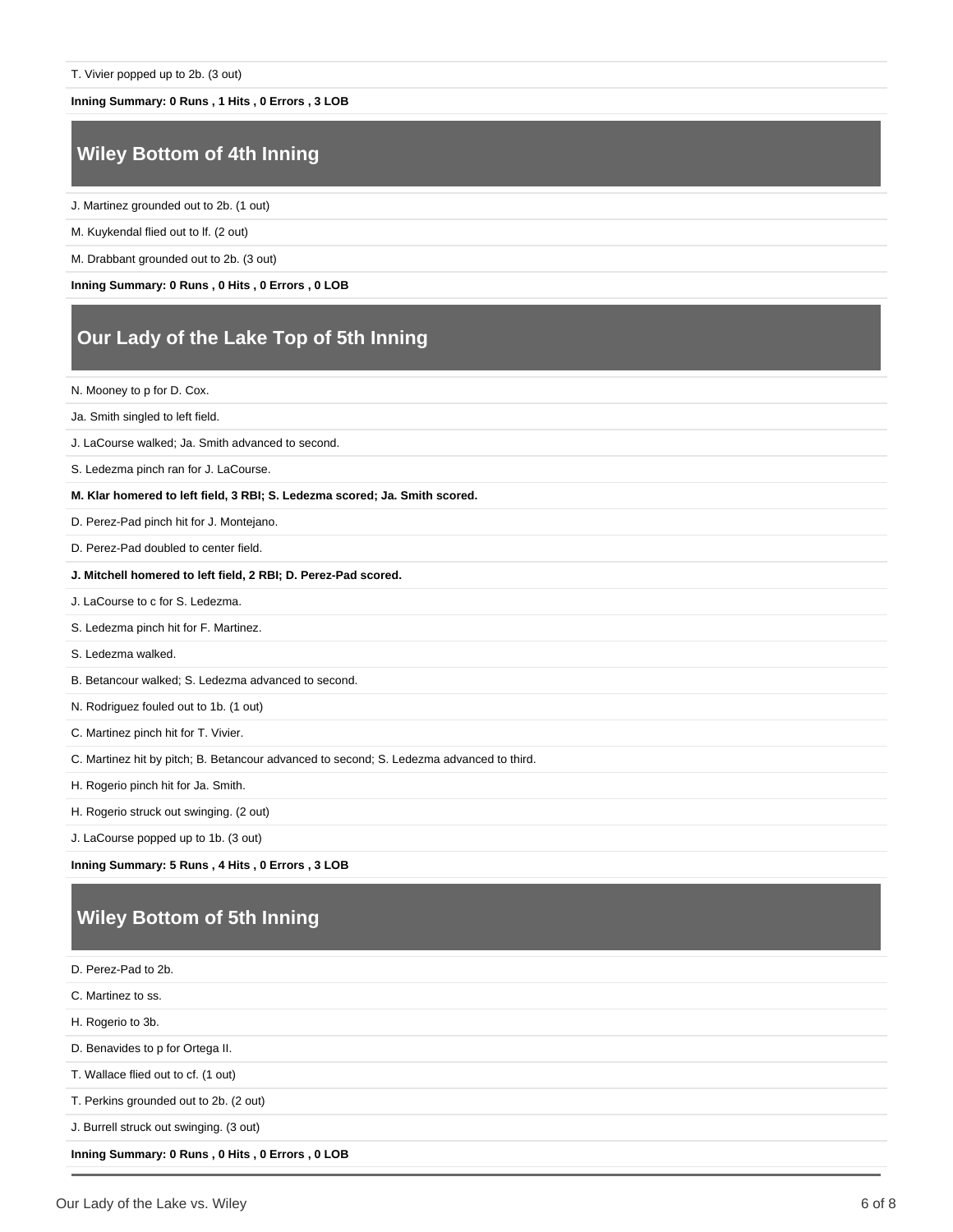#### **Inning Summary: 0 Runs , 1 Hits , 0 Errors , 3 LOB**

### **Wiley Bottom of 4th Inning**

J. Martinez grounded out to 2b. (1 out)

M. Kuykendal flied out to lf. (2 out)

M. Drabbant grounded out to 2b. (3 out)

**Inning Summary: 0 Runs , 0 Hits , 0 Errors , 0 LOB**

### **Our Lady of the Lake Top of 5th Inning**

N. Mooney to p for D. Cox.

Ja. Smith singled to left field.

J. LaCourse walked; Ja. Smith advanced to second.

S. Ledezma pinch ran for J. LaCourse.

**M. Klar homered to left field, 3 RBI; S. Ledezma scored; Ja. Smith scored.**

D. Perez-Pad pinch hit for J. Montejano.

D. Perez-Pad doubled to center field.

**J. Mitchell homered to left field, 2 RBI; D. Perez-Pad scored.**

J. LaCourse to c for S. Ledezma.

S. Ledezma pinch hit for F. Martinez.

S. Ledezma walked.

B. Betancour walked; S. Ledezma advanced to second.

N. Rodriguez fouled out to 1b. (1 out)

C. Martinez pinch hit for T. Vivier.

C. Martinez hit by pitch; B. Betancour advanced to second; S. Ledezma advanced to third.

H. Rogerio pinch hit for Ja. Smith.

H. Rogerio struck out swinging. (2 out)

J. LaCourse popped up to 1b. (3 out)

**Inning Summary: 5 Runs , 4 Hits , 0 Errors , 3 LOB**

## **Wiley Bottom of 5th Inning**

D. Perez-Pad to 2b. C. Martinez to ss. H. Rogerio to 3b. D. Benavides to p for Ortega II. T. Wallace flied out to cf. (1 out) T. Perkins grounded out to 2b. (2 out) J. Burrell struck out swinging. (3 out) **Inning Summary: 0 Runs , 0 Hits , 0 Errors , 0 LOB**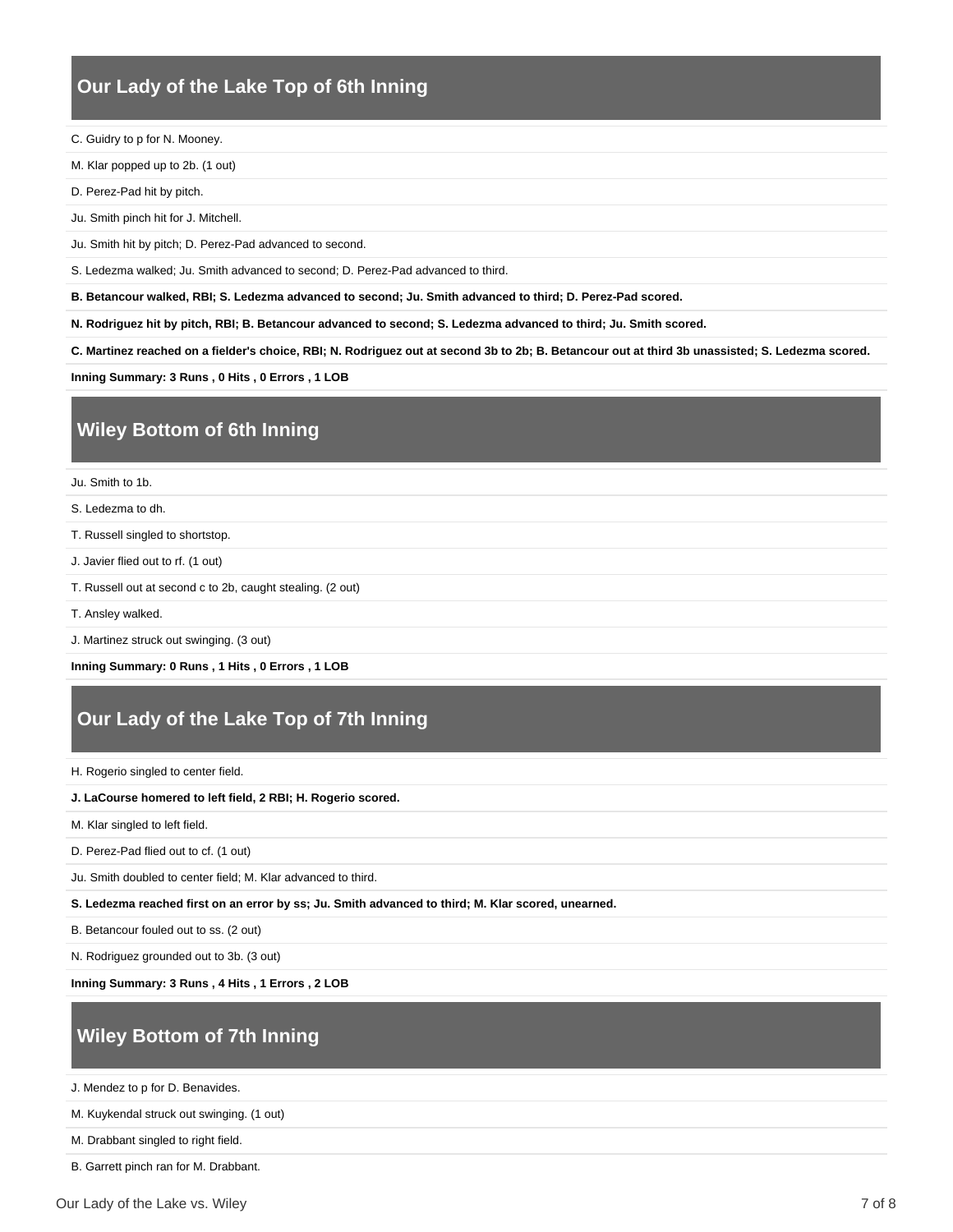#### **Our Lady of the Lake Top of 6th Inning**

C. Guidry to p for N. Mooney.

M. Klar popped up to 2b. (1 out)

D. Perez-Pad hit by pitch.

Ju. Smith pinch hit for J. Mitchell.

Ju. Smith hit by pitch; D. Perez-Pad advanced to second.

S. Ledezma walked; Ju. Smith advanced to second; D. Perez-Pad advanced to third.

**B. Betancour walked, RBI; S. Ledezma advanced to second; Ju. Smith advanced to third; D. Perez-Pad scored.**

**N. Rodriguez hit by pitch, RBI; B. Betancour advanced to second; S. Ledezma advanced to third; Ju. Smith scored.**

**C. Martinez reached on a fielder's choice, RBI; N. Rodriguez out at second 3b to 2b; B. Betancour out at third 3b unassisted; S. Ledezma scored.**

**Inning Summary: 3 Runs , 0 Hits , 0 Errors , 1 LOB**

## **Wiley Bottom of 6th Inning**

Ju. Smith to 1b.

S. Ledezma to dh.

T. Russell singled to shortstop.

J. Javier flied out to rf. (1 out)

- T. Russell out at second c to 2b, caught stealing. (2 out)
- T. Ansley walked.
- J. Martinez struck out swinging. (3 out)

**Inning Summary: 0 Runs , 1 Hits , 0 Errors , 1 LOB**

### **Our Lady of the Lake Top of 7th Inning**

H. Rogerio singled to center field.

#### **J. LaCourse homered to left field, 2 RBI; H. Rogerio scored.**

M. Klar singled to left field.

D. Perez-Pad flied out to cf. (1 out)

Ju. Smith doubled to center field; M. Klar advanced to third.

**S. Ledezma reached first on an error by ss; Ju. Smith advanced to third; M. Klar scored, unearned.**

B. Betancour fouled out to ss. (2 out)

N. Rodriguez grounded out to 3b. (3 out)

**Inning Summary: 3 Runs , 4 Hits , 1 Errors , 2 LOB**

## **Wiley Bottom of 7th Inning**

J. Mendez to p for D. Benavides.

M. Kuykendal struck out swinging. (1 out)

M. Drabbant singled to right field.

B. Garrett pinch ran for M. Drabbant.

Our Lady of the Lake vs. Wiley 7 of 8